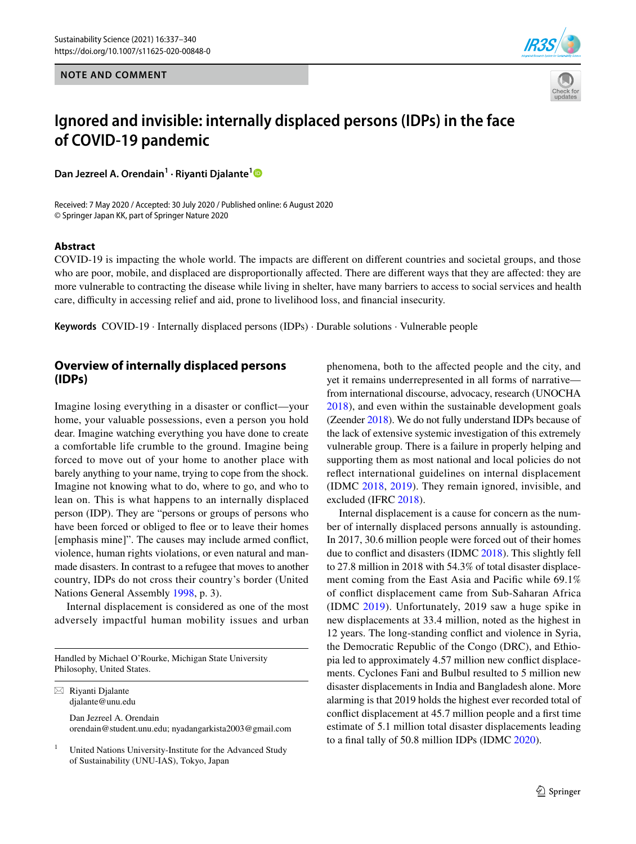**NOTE AND COMMENT**





# **Ignored and invisible: internally displaced persons (IDPs) in the face of COVID‑19 pandemic**

**Dan Jezreel A. Orendain1 · Riyanti Djalante[1](http://orcid.org/0000-0001-6301-8409)**

Received: 7 May 2020 / Accepted: 30 July 2020 / Published online: 6 August 2020 © Springer Japan KK, part of Springer Nature 2020

#### **Abstract**

COVID-19 is impacting the whole world. The impacts are diferent on diferent countries and societal groups, and those who are poor, mobile, and displaced are disproportionally afected. There are diferent ways that they are afected: they are more vulnerable to contracting the disease while living in shelter, have many barriers to access to social services and health care, difculty in accessing relief and aid, prone to livelihood loss, and fnancial insecurity.

**Keywords** COVID-19 · Internally displaced persons (IDPs) · Durable solutions · Vulnerable people

## **Overview of internally displaced persons (IDPs)**

Imagine losing everything in a disaster or confict—your home, your valuable possessions, even a person you hold dear. Imagine watching everything you have done to create a comfortable life crumble to the ground. Imagine being forced to move out of your home to another place with barely anything to your name, trying to cope from the shock. Imagine not knowing what to do, where to go, and who to lean on. This is what happens to an internally displaced person (IDP). They are "persons or groups of persons who have been forced or obliged to flee or to leave their homes [emphasis mine]". The causes may include armed confict, violence, human rights violations, or even natural and manmade disasters. In contrast to a refugee that moves to another country, IDPs do not cross their country's border (United Nations General Assembly [1998,](#page-3-0) p. 3).

Internal displacement is considered as one of the most adversely impactful human mobility issues and urban

Handled by Michael O'Rourke, Michigan State University Philosophy, United States.

 $\boxtimes$  Riyanti Djalante djalante@unu.edu

> Dan Jezreel A. Orendain orendain@student.unu.edu; nyadangarkista2003@gmail.com

United Nations University-Institute for the Advanced Study of Sustainability (UNU-IAS), Tokyo, Japan

phenomena, both to the afected people and the city, and yet it remains underrepresented in all forms of narrative from international discourse, advocacy, research (UNOCHA [2018\)](#page-3-1), and even within the sustainable development goals (Zeender [2018\)](#page-3-2). We do not fully understand IDPs because of the lack of extensive systemic investigation of this extremely vulnerable group. There is a failure in properly helping and supporting them as most national and local policies do not refect international guidelines on internal displacement (IDMC [2018,](#page-2-0) [2019](#page-2-1)). They remain ignored, invisible, and excluded (IFRC [2018\)](#page-2-2).

Internal displacement is a cause for concern as the number of internally displaced persons annually is astounding. In 2017, 30.6 million people were forced out of their homes due to confict and disasters (IDMC [2018\)](#page-2-0). This slightly fell to 27.8 million in 2018 with 54.3% of total disaster displacement coming from the East Asia and Pacifc while 69.1% of confict displacement came from Sub-Saharan Africa (IDMC [2019](#page-2-1)). Unfortunately, 2019 saw a huge spike in new displacements at 33.4 million, noted as the highest in 12 years. The long-standing confict and violence in Syria, the Democratic Republic of the Congo (DRC), and Ethiopia led to approximately 4.57 million new confict displacements. Cyclones Fani and Bulbul resulted to 5 million new disaster displacements in India and Bangladesh alone. More alarming is that 2019 holds the highest ever recorded total of confict displacement at 45.7 million people and a frst time estimate of 5.1 million total disaster displacements leading to a fnal tally of 50.8 million IDPs (IDMC [2020\)](#page-2-3).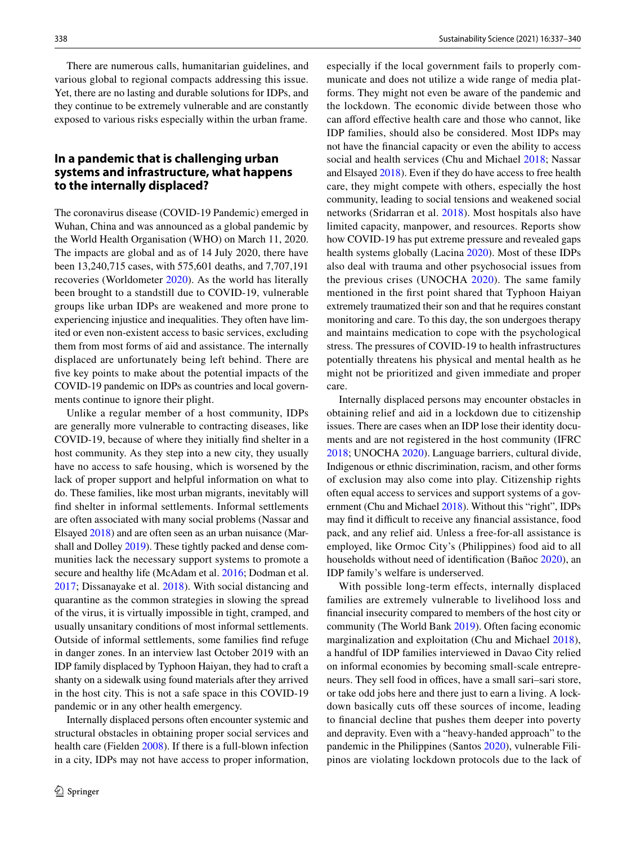There are numerous calls, humanitarian guidelines, and various global to regional compacts addressing this issue. Yet, there are no lasting and durable solutions for IDPs, and they continue to be extremely vulnerable and are constantly exposed to various risks especially within the urban frame.

### **In a pandemic that is challenging urban systems and infrastructure, what happens to the internally displaced?**

The coronavirus disease (COVID-19 Pandemic) emerged in Wuhan, China and was announced as a global pandemic by the World Health Organisation (WHO) on March 11, 2020. The impacts are global and as of 14 July 2020, there have been 13,240,715 cases, with 575,601 deaths, and 7,707,191 recoveries (Worldometer [2020\)](#page-3-3). As the world has literally been brought to a standstill due to COVID-19, vulnerable groups like urban IDPs are weakened and more prone to experiencing injustice and inequalities. They often have limited or even non-existent access to basic services, excluding them from most forms of aid and assistance. The internally displaced are unfortunately being left behind. There are fve key points to make about the potential impacts of the COVID-19 pandemic on IDPs as countries and local governments continue to ignore their plight.

Unlike a regular member of a host community, IDPs are generally more vulnerable to contracting diseases, like COVID-19, because of where they initially fnd shelter in a host community. As they step into a new city, they usually have no access to safe housing, which is worsened by the lack of proper support and helpful information on what to do. These families, like most urban migrants, inevitably will fnd shelter in informal settlements. Informal settlements are often associated with many social problems (Nassar and Elsayed [2018\)](#page-3-4) and are often seen as an urban nuisance (Marshall and Dolley [2019\)](#page-3-5). These tightly packed and dense communities lack the necessary support systems to promote a secure and healthy life (McAdam et al. [2016](#page-3-6); Dodman et al. [2017](#page-2-4); Dissanayake et al. [2018\)](#page-2-5). With social distancing and quarantine as the common strategies in slowing the spread of the virus, it is virtually impossible in tight, cramped, and usually unsanitary conditions of most informal settlements. Outside of informal settlements, some families fnd refuge in danger zones. In an interview last October 2019 with an IDP family displaced by Typhoon Haiyan, they had to craft a shanty on a sidewalk using found materials after they arrived in the host city. This is not a safe space in this COVID-19 pandemic or in any other health emergency.

Internally displaced persons often encounter systemic and structural obstacles in obtaining proper social services and health care (Fielden [2008](#page-2-6)). If there is a full-blown infection in a city, IDPs may not have access to proper information, especially if the local government fails to properly communicate and does not utilize a wide range of media platforms. They might not even be aware of the pandemic and the lockdown. The economic divide between those who can aford efective health care and those who cannot, like IDP families, should also be considered. Most IDPs may not have the fnancial capacity or even the ability to access social and health services (Chu and Michael [2018;](#page-2-7) Nassar and Elsayed [2018](#page-3-4)). Even if they do have access to free health care, they might compete with others, especially the host community, leading to social tensions and weakened social networks (Sridarran et al. [2018](#page-3-7)). Most hospitals also have limited capacity, manpower, and resources. Reports show how COVID-19 has put extreme pressure and revealed gaps health systems globally (Lacina [2020](#page-3-8)). Most of these IDPs also deal with trauma and other psychosocial issues from the previous crises (UNOCHA [2020\)](#page-3-9). The same family mentioned in the frst point shared that Typhoon Haiyan extremely traumatized their son and that he requires constant monitoring and care. To this day, the son undergoes therapy and maintains medication to cope with the psychological stress. The pressures of COVID-19 to health infrastructures potentially threatens his physical and mental health as he might not be prioritized and given immediate and proper care.

Internally displaced persons may encounter obstacles in obtaining relief and aid in a lockdown due to citizenship issues. There are cases when an IDP lose their identity documents and are not registered in the host community (IFRC [2018](#page-2-2); UNOCHA [2020\)](#page-3-9). Language barriers, cultural divide, Indigenous or ethnic discrimination, racism, and other forms of exclusion may also come into play. Citizenship rights often equal access to services and support systems of a government (Chu and Michael [2018](#page-2-7)). Without this "right", IDPs may find it difficult to receive any financial assistance, food pack, and any relief aid. Unless a free-for-all assistance is employed, like Ormoc City's (Philippines) food aid to all households without need of identifcation (Bañoc [2020\)](#page-2-8), an IDP family's welfare is underserved.

With possible long-term effects, internally displaced families are extremely vulnerable to livelihood loss and fnancial insecurity compared to members of the host city or community (The World Bank [2019](#page-3-10)). Often facing economic marginalization and exploitation (Chu and Michael [2018](#page-2-7)), a handful of IDP families interviewed in Davao City relied on informal economies by becoming small-scale entrepreneurs. They sell food in offices, have a small sari–sari store, or take odd jobs here and there just to earn a living. A lockdown basically cuts off these sources of income, leading to fnancial decline that pushes them deeper into poverty and depravity. Even with a "heavy-handed approach" to the pandemic in the Philippines (Santos [2020\)](#page-3-11), vulnerable Filipinos are violating lockdown protocols due to the lack of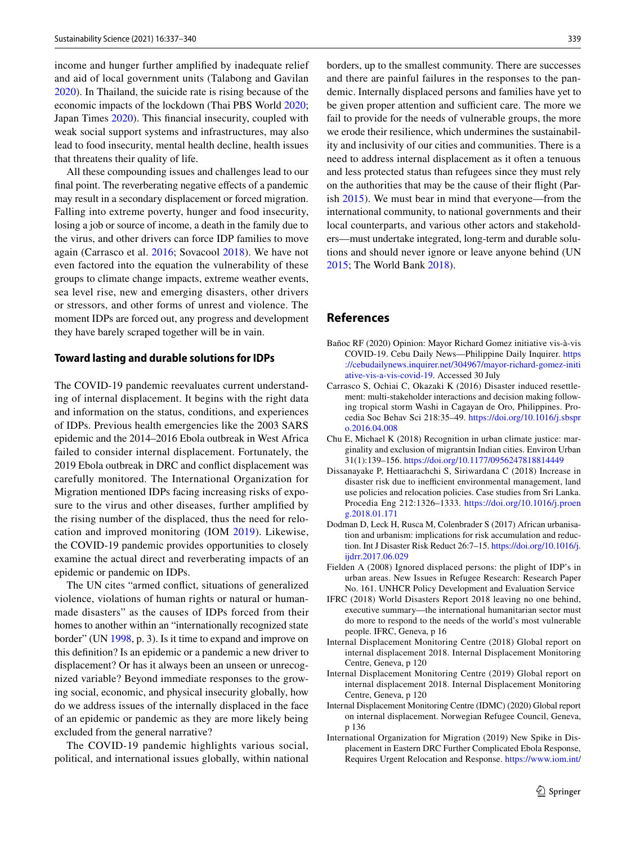income and hunger further amplifed by inadequate relief and aid of local government units (Talabong and Gavilan [2020](#page-3-12)). In Thailand, the suicide rate is rising because of the economic impacts of the lockdown (Thai PBS World [2020](#page-3-13); Japan Times [2020\)](#page-3-14). This fnancial insecurity, coupled with weak social support systems and infrastructures, may also lead to food insecurity, mental health decline, health issues that threatens their quality of life.

All these compounding issues and challenges lead to our final point. The reverberating negative effects of a pandemic may result in a secondary displacement or forced migration. Falling into extreme poverty, hunger and food insecurity, losing a job or source of income, a death in the family due to the virus, and other drivers can force IDP families to move again (Carrasco et al. [2016;](#page-2-9) Sovacool [2018](#page-3-15)). We have not even factored into the equation the vulnerability of these groups to climate change impacts, extreme weather events, sea level rise, new and emerging disasters, other drivers or stressors, and other forms of unrest and violence. The moment IDPs are forced out, any progress and development they have barely scraped together will be in vain.

#### **Toward lasting and durable solutions for IDPs**

The COVID-19 pandemic reevaluates current understanding of internal displacement. It begins with the right data and information on the status, conditions, and experiences of IDPs. Previous health emergencies like the 2003 SARS epidemic and the 2014–2016 Ebola outbreak in West Africa failed to consider internal displacement. Fortunately, the 2019 Ebola outbreak in DRC and confict displacement was carefully monitored. The International Organization for Migration mentioned IDPs facing increasing risks of exposure to the virus and other diseases, further amplifed by the rising number of the displaced, thus the need for relocation and improved monitoring (IOM [2019](#page-2-10)). Likewise, the COVID-19 pandemic provides opportunities to closely examine the actual direct and reverberating impacts of an epidemic or pandemic on IDPs.

The UN cites "armed confict, situations of generalized violence, violations of human rights or natural or humanmade disasters" as the causes of IDPs forced from their homes to another within an "internationally recognized state border" (UN [1998](#page-3-0), p. 3). Is it time to expand and improve on this defnition? Is an epidemic or a pandemic a new driver to displacement? Or has it always been an unseen or unrecognized variable? Beyond immediate responses to the growing social, economic, and physical insecurity globally, how do we address issues of the internally displaced in the face of an epidemic or pandemic as they are more likely being excluded from the general narrative?

The COVID-19 pandemic highlights various social, political, and international issues globally, within national borders, up to the smallest community. There are successes and there are painful failures in the responses to the pandemic. Internally displaced persons and families have yet to be given proper attention and sufficient care. The more we fail to provide for the needs of vulnerable groups, the more we erode their resilience, which undermines the sustainability and inclusivity of our cities and communities. There is a need to address internal displacement as it often a tenuous and less protected status than refugees since they must rely on the authorities that may be the cause of their fight (Parish [2015](#page-3-16)). We must bear in mind that everyone—from the international community, to national governments and their local counterparts, and various other actors and stakeholders—must undertake integrated, long-term and durable solutions and should never ignore or leave anyone behind (UN [2015](#page-3-17); The World Bank [2018](#page-3-18)).

#### **References**

- <span id="page-2-8"></span>Bañoc RF (2020) Opinion: Mayor Richard Gomez initiative vis-à-vis COVID-19. Cebu Daily News—Philippine Daily Inquirer. [https](https://cebudailynews.inquirer.net/304967/mayor-richard-gomez-initiative-vis-a-vis-covid-19) [://cebudailynews.inquirer.net/304967/mayor-richard-gomez-initi](https://cebudailynews.inquirer.net/304967/mayor-richard-gomez-initiative-vis-a-vis-covid-19) [ative-vis-a-vis-covid-19](https://cebudailynews.inquirer.net/304967/mayor-richard-gomez-initiative-vis-a-vis-covid-19). Accessed 30 July
- <span id="page-2-9"></span>Carrasco S, Ochiai C, Okazaki K (2016) Disaster induced resettlement: multi-stakeholder interactions and decision making following tropical storm Washi in Cagayan de Oro, Philippines. Procedia Soc Behav Sci 218:35–49. [https://doi.org/10.1016/j.sbspr](https://doi.org/10.1016/j.sbspro.2016.04.008) [o.2016.04.008](https://doi.org/10.1016/j.sbspro.2016.04.008)
- <span id="page-2-7"></span>Chu E, Michael K (2018) Recognition in urban climate justice: marginality and exclusion of migrantsin Indian cities. Environ Urban 31(1):139–156.<https://doi.org/10.1177/0956247818814449>
- <span id="page-2-5"></span>Dissanayake P, Hettiaarachchi S, Siriwardana C (2018) Increase in disaster risk due to inefficient environmental management, land use policies and relocation policies. Case studies from Sri Lanka. Procedia Eng 212:1326–1333. [https://doi.org/10.1016/j.proen](https://doi.org/10.1016/j.proeng.2018.01.171) [g.2018.01.171](https://doi.org/10.1016/j.proeng.2018.01.171)
- <span id="page-2-4"></span>Dodman D, Leck H, Rusca M, Colenbrader S (2017) African urbanisation and urbanism: implications for risk accumulation and reduction. Int J Disaster Risk Reduct 26:7–15. [https://doi.org/10.1016/j.](https://doi.org/10.1016/j.ijdrr.2017.06.029) [ijdrr.2017.06.029](https://doi.org/10.1016/j.ijdrr.2017.06.029)
- <span id="page-2-6"></span>Fielden A (2008) Ignored displaced persons: the plight of IDP's in urban areas. New Issues in Refugee Research: Research Paper No. 161. UNHCR Policy Development and Evaluation Service
- <span id="page-2-2"></span>IFRC (2018) World Disasters Report 2018 leaving no one behind, executive summary—the international humanitarian sector must do more to respond to the needs of the world's most vulnerable people. IFRC, Geneva, p 16
- <span id="page-2-0"></span>Internal Displacement Monitoring Centre (2018) Global report on internal displacement 2018. Internal Displacement Monitoring Centre, Geneva, p 120
- <span id="page-2-1"></span>Internal Displacement Monitoring Centre (2019) Global report on internal displacement 2018. Internal Displacement Monitoring Centre, Geneva, p 120
- <span id="page-2-3"></span>Internal Displacement Monitoring Centre (IDMC) (2020) Global report on internal displacement. Norwegian Refugee Council, Geneva, p 136
- <span id="page-2-10"></span>International Organization for Migration (2019) New Spike in Displacement in Eastern DRC Further Complicated Ebola Response, Requires Urgent Relocation and Response. [https://www.iom.int/](https://www.iom.int/news/new-spike-displacement-eastern-drc-further-complicates-ebola-response-requires-urgent)